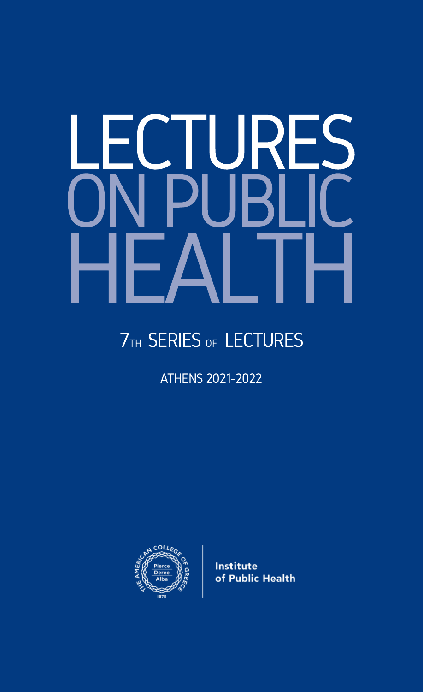# LECTURES ON PUBLIC HEALTH

# **7TH SERIES OF LECTURES**

ATHENS 2021-2022



**Institute** of Public Health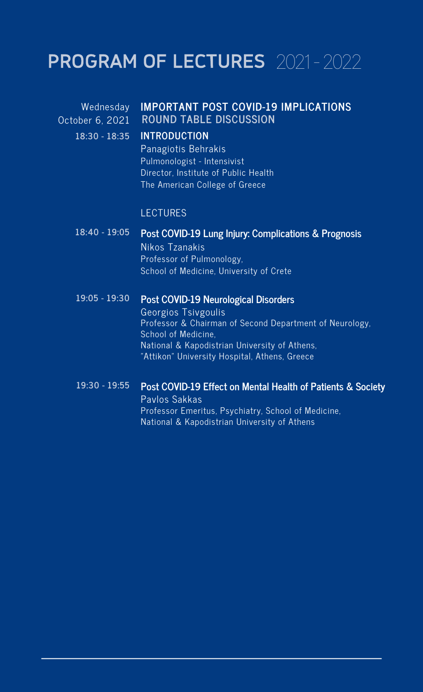# PROGRAM OF LECTURES 2021-2022

October 6, 2021 **18:30 - 18:35**

# Wednesday **IMPORTANT POST COVID-19 IMPLICATIONS ROUND TABLE DISCUSSION**

## **INTRODUCTION**

Panagiotis Behrakis Pulmonologist - Intensivist Director, Institute of Public Health The American College of Greece

## **LECTURES**

#### **Post COVID-19 Lung Injury: Complications & Prognosis 18:40 - 19:05**

Nikos Tzanakis Professor of Pulmonology, School of Medicine, University of Crete

#### **Post COVID-19 Neurological Disorders 19:05 - 19:30**

Georgios Tsivgoulis Professor & Chairman of Second Department of Neurology, School of Medicine, National & Kapodistrian University of Athens, "Attikon" University Hospital, Athens, Greece

### **Post COVID-19 Effect on Mental Health of Patients & Society** Pavlos Sakkas Professor Emeritus, Psychiatry, School of Medicine, National & Kapodistrian University of Athens **19:30 - 19:55**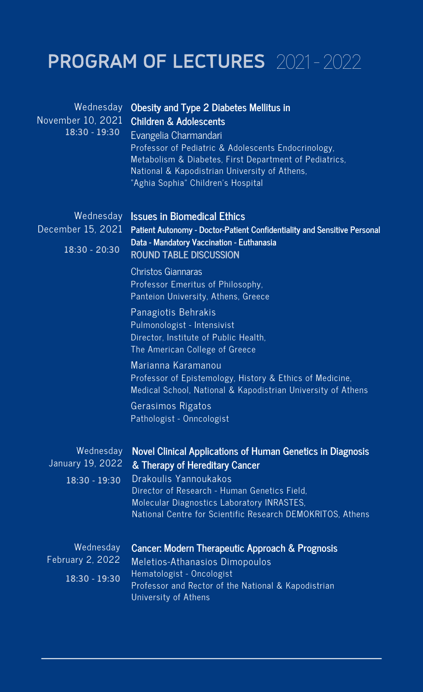# PROGRAM OF LECTURES 2021-2022

| Wednesday<br>November 10, 2021<br>18:30 - 19:30 | Obesity and Type 2 Diabetes Mellitus in<br><b>Children &amp; Adolescents</b><br>Evangelia Charmandari<br>Professor of Pediatric & Adolescents Endocrinology,<br>Metabolism & Diabetes, First Department of Pediatrics,<br>National & Kapodistrian University of Athens,<br>"Aghia Sophia" Children's Hospital                                               |
|-------------------------------------------------|-------------------------------------------------------------------------------------------------------------------------------------------------------------------------------------------------------------------------------------------------------------------------------------------------------------------------------------------------------------|
| Wednesday<br>December 15, 2021<br>18:30 - 20:30 | <b>Issues in Biomedical Ethics</b><br>Patient Autonomy - Doctor-Patient Confidentiality and Sensitive Personal<br>Data - Mandatory Vaccination - Euthanasia<br><b>ROUND TABLE DISCUSSION</b><br>Christos Giannaras                                                                                                                                          |
|                                                 | Professor Emeritus of Philosophy,<br>Panteion University, Athens, Greece<br>Panagiotis Behrakis<br>Pulmonologist - Intensivist<br>Director, Institute of Public Health,<br>The American College of Greece<br>Marianna Karamanou<br>Professor of Epistemology, History & Ethics of Medicine,<br>Medical School, National & Kapodistrian University of Athens |
|                                                 | Gerasimos Rigatos<br>Pathologist - Onncologist                                                                                                                                                                                                                                                                                                              |
| Wednesday<br>January 19, 2022<br>18:30 - 19:30  | Novel Clinical Applications of Human Genetics in Diagnosis<br>& Therapy of Hereditary Cancer<br>Drakoulis Yannoukakos<br>Director of Research - Human Genetics Field.<br>Molecular Diagnostics Laboratory INRASTES,<br>National Centre for Scientific Research DEMOKRITOS, Athens                                                                           |
| Wednesday<br>February 2, 2022<br>18:30 - 19:30  | Cancer: Modern Therapeutic Approach & Prognosis<br>Meletios-Athanasios Dimopoulos<br>Hematologist - Oncologist<br>Professor and Rector of the National & Kapodistrian<br>University of Athens                                                                                                                                                               |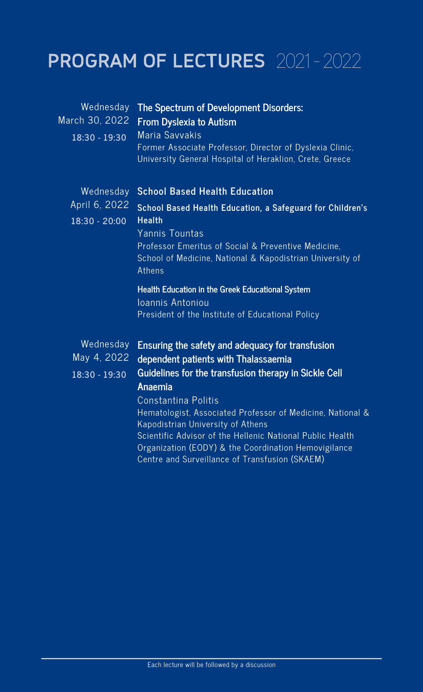# PROGRAM OF LECTURES 2021-2022

| Wednesday<br>March 30, 2022<br>18:30 - 19:30  | The Spectrum of Development Disorders:<br><b>From Dyslexia to Autism</b><br>Maria Savvakis<br>Former Associate Professor, Director of Dyslexia Clinic,<br>University General Hospital of Heraklion, Crete, Greece                                                                                               |
|-----------------------------------------------|-----------------------------------------------------------------------------------------------------------------------------------------------------------------------------------------------------------------------------------------------------------------------------------------------------------------|
| Wednesday<br>April 6, 2022<br>$18:30 - 20:00$ | <b>School Based Health Education</b><br>School Based Health Education, a Safeguard for Children's<br><b>Health</b><br>Yannis Tountas<br>Professor Emeritus of Social & Preventive Medicine.<br>School of Medicine, National & Kapodistrian University of<br>Athens                                              |
| Wednesday<br>May 4, 2022<br>18:30 - 19:30     | Health Education in the Greek Educational System<br>Ioannis Antoniou<br>President of the Institute of Educational Policy<br>Ensuring the safety and adequacy for transfusion<br>dependent patients with Thalassaemia<br>Guidelines for the transfusion therapy in Sickle Cell<br>Anaemia<br>Constantina Politis |
|                                               | Hematologist, Associated Professor of Medicine, National &<br>Kapodistrian University of Athens<br>Scientific Advisor of the Hellenic National Public Health<br>Organization (EODY) & the Coordination Hemovigilance<br>Centre and Surveillance of Transfusion (SKAEM)                                          |